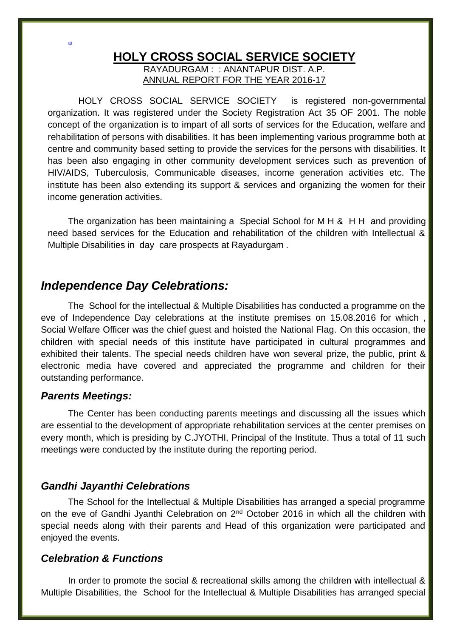#### **HOLY CROSS SOCIAL SERVICE SOCIETY** RAYADURGAM : : ANANTAPUR DIST. A.P.

ANNUAL REPORT FOR THE YEAR 2016-17

 HOLY CROSS SOCIAL SERVICE SOCIETY is registered non-governmental organization. It was registered under the Society Registration Act 35 OF 2001. The noble concept of the organization is to impart of all sorts of services for the Education, welfare and rehabilitation of persons with disabilities. It has been implementing various programme both at centre and community based setting to provide the services for the persons with disabilities. It has been also engaging in other community development services such as prevention of HIV/AIDS, Tuberculosis, Communicable diseases, income generation activities etc. The institute has been also extending its support & services and organizing the women for their income generation activities.

The organization has been maintaining a Special School for M H & H H and providing need based services for the Education and rehabilitation of the children with Intellectual & Multiple Disabilities in day care prospects at Rayadurgam .

## *Independence Day Celebrations:*

The School for the intellectual & Multiple Disabilities has conducted a programme on the eve of Independence Day celebrations at the institute premises on 15.08.2016 for which , Social Welfare Officer was the chief guest and hoisted the National Flag. On this occasion, the children with special needs of this institute have participated in cultural programmes and exhibited their talents. The special needs children have won several prize, the public, print & electronic media have covered and appreciated the programme and children for their outstanding performance.

### *Parents Meetings:*

ADI

The Center has been conducting parents meetings and discussing all the issues which are essential to the development of appropriate rehabilitation services at the center premises on every month, which is presiding by C.JYOTHI, Principal of the Institute. Thus a total of 11 such meetings were conducted by the institute during the reporting period.

## *Gandhi Jayanthi Celebrations*

The School for the Intellectual & Multiple Disabilities has arranged a special programme on the eve of Gandhi Jyanthi Celebration on 2<sup>nd</sup> October 2016 in which all the children with special needs along with their parents and Head of this organization were participated and enjoyed the events.

## *Celebration & Functions*

In order to promote the social & recreational skills among the children with intellectual & Multiple Disabilities, the School for the Intellectual & Multiple Disabilities has arranged special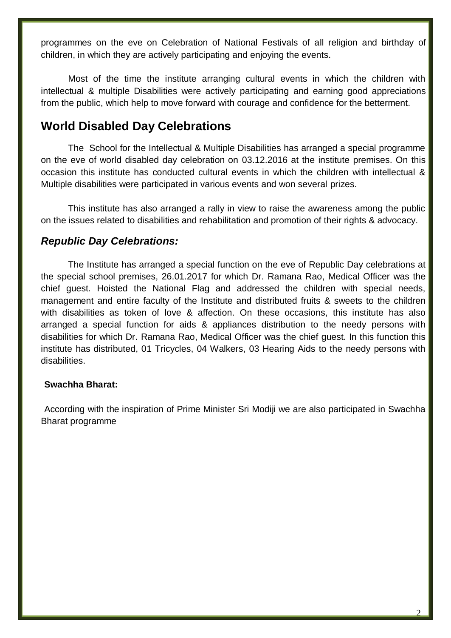programmes on the eve on Celebration of National Festivals of all religion and birthday of children, in which they are actively participating and enjoying the events.

Most of the time the institute arranging cultural events in which the children with intellectual & multiple Disabilities were actively participating and earning good appreciations from the public, which help to move forward with courage and confidence for the betterment.

# **World Disabled Day Celebrations**

The School for the Intellectual & Multiple Disabilities has arranged a special programme on the eve of world disabled day celebration on 03.12.2016 at the institute premises. On this occasion this institute has conducted cultural events in which the children with intellectual & Multiple disabilities were participated in various events and won several prizes.

This institute has also arranged a rally in view to raise the awareness among the public on the issues related to disabilities and rehabilitation and promotion of their rights & advocacy.

## *Republic Day Celebrations:*

The Institute has arranged a special function on the eve of Republic Day celebrations at the special school premises, 26.01.2017 for which Dr. Ramana Rao, Medical Officer was the chief guest. Hoisted the National Flag and addressed the children with special needs, management and entire faculty of the Institute and distributed fruits & sweets to the children with disabilities as token of love & affection. On these occasions, this institute has also arranged a special function for aids & appliances distribution to the needy persons with disabilities for which Dr. Ramana Rao, Medical Officer was the chief guest. In this function this institute has distributed, 01 Tricycles, 04 Walkers, 03 Hearing Aids to the needy persons with disabilities.

### **Swachha Bharat:**

According with the inspiration of Prime Minister Sri Modiji we are also participated in Swachha Bharat programme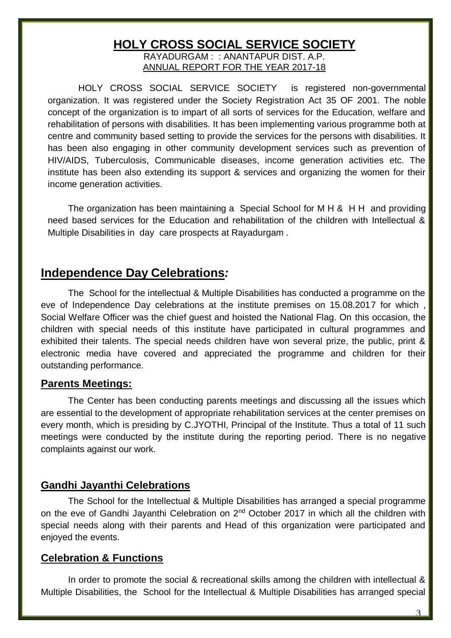# **HOLY CROSS SOCIAL SERVICE SOCIETY**

RAYADURGAM : : ANANTAPUR DIST. A.P. ANNUAL REPORT FOR THE YEAR 2017-18

 HOLY CROSS SOCIAL SERVICE SOCIETY is registered non-governmental organization. It was registered under the Society Registration Act 35 OF 2001. The noble concept of the organization is to impart of all sorts of services for the Education, welfare and rehabilitation of persons with disabilities. It has been implementing various programme both at centre and community based setting to provide the services for the persons with disabilities. It has been also engaging in other community development services such as prevention of HIV/AIDS, Tuberculosis, Communicable diseases, income generation activities etc. The institute has been also extending its support & services and organizing the women for their income generation activities.

The organization has been maintaining a Special School for M H & H H and providing need based services for the Education and rehabilitation of the children with Intellectual & Multiple Disabilities in day care prospects at Rayadurgam .

## **Independence Day Celebrations***:*

The School for the intellectual & Multiple Disabilities has conducted a programme on the eve of Independence Day celebrations at the institute premises on 15.08.2017 for which , Social Welfare Officer was the chief guest and hoisted the National Flag. On this occasion, the children with special needs of this institute have participated in cultural programmes and exhibited their talents. The special needs children have won several prize, the public, print & electronic media have covered and appreciated the programme and children for their outstanding performance.

#### **Parents Meetings:**

The Center has been conducting parents meetings and discussing all the issues which are essential to the development of appropriate rehabilitation services at the center premises on every month, which is presiding by C.JYOTHI, Principal of the Institute. Thus a total of 11 such meetings were conducted by the institute during the reporting period. There is no negative complaints against our work.

### **Gandhi Jayanthi Celebrations**

The School for the Intellectual & Multiple Disabilities has arranged a special programme on the eve of Gandhi Jayanthi Celebration on 2<sup>nd</sup> October 2017 in which all the children with special needs along with their parents and Head of this organization were participated and enjoyed the events.

### **Celebration & Functions**

In order to promote the social & recreational skills among the children with intellectual & Multiple Disabilities, the School for the Intellectual & Multiple Disabilities has arranged special